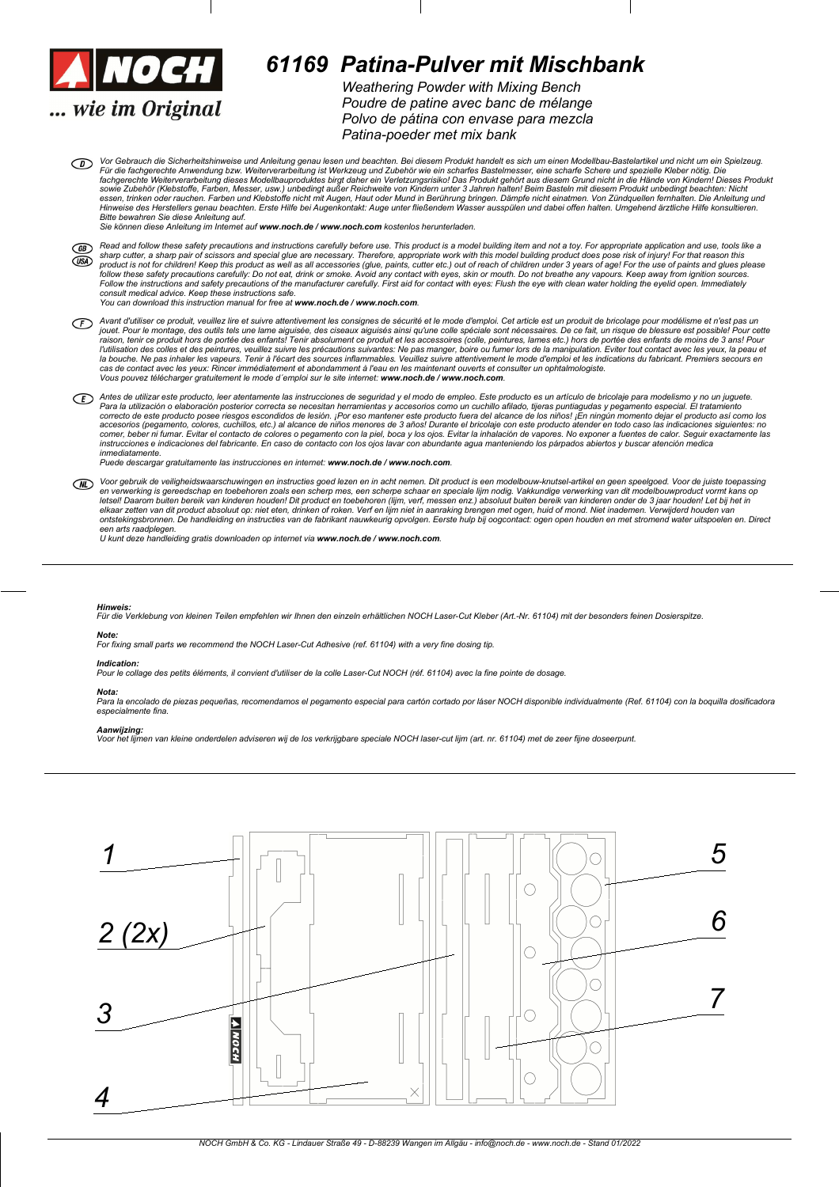

# *61169 Patina-Pulver mit Mischbank*

*Weathering Powder with Mixing Bench Poudre de patine avec banc de mplange Polvo de pitina con envase para mezcla Patina-poeder met mix bank*

Vor Gebrauch die Sicherheitshinweise und Anleitung genau lesen und beachten. Bei diesem Produkt handelt es sich um einen Modellbau-Bastelartikel und nicht um ein Spielzeug.<br>Für die fachgerechte Anwendung bzw. Weiterverarbe fachgerechte Weiterverarbeitung dieses Modellbauproduktes birgt daher ein Verletzungsrisiko! Das Produkt gehört aus diesem Grund nicht in die Hände von Kindern! Dieses Produkt<br>sowie Zubehör (Klebstoffe, Farben, Messer, usw Hinweise des Herstellers genau beachten. Erste Hilfe bei Augenkontakt: Auge unter fließendem Wasser ausspülen und dabei offen halten. Umgehend ärztliche Hilfe konsultieren.<br>Bitte bewahren Sie diese Anleitung auf.

*Sie k|nnen diese Anleitung im Internet auf www.noch.de / www.noch.com kostenlos herunterladen.*

- Read and follow these safety precautions and instructions carefully before use. This product is a model building item and not a toy. For appropriate application and use, tools like a<br>product is not for children! Keep this *consult medical advice. Keep these instructions safe. You can download this instruction manual for free at www.noch.de / www.noch.com.*
- Avant d'utiliser ce produit, veuillez lire et suivre attentivement les consignes de sécurité et le mode d'emploi. Cet article est un produit de bricolage pour modélisme et n'est pas un jouet. Pour le montage, des outils tels une lame aiguisée, des ciseaux aiguisés ainsi qu'une colle spéciale sont nécessaires. De ce fait, un risque de blessure est possible! Pour cette<br>raison, tenir ce produit hors de port l'utilisation des colles et des peintures, veuillez suivre les précautions suivantes: Ne pas manger, boire ou fumer lors de la manipulation. Eviter tout contact avec les yeux, la peau et<br>la bouche. Ne pas inhaler les vapeu  $V$ ous pouvez télécharger gratuitement le mode d'emploi sur le site internet: www.noch.de / www.noch.com.
- Antes de utilizar este producto, leer atentamente las instrucciones de seguridad y el modo de empleo. Este producto es un artículo de bricolaje para modelismo y no un juguete.<br>Para la utilización o elaboración posteror os accesorios (pegamento, colores, cuchillos, etc.) al alcance de niños menores de 3 años! Durante el bricolaje con este producto atender en todo caso las indicaciones siguientes: no<br>comer, beber ni fumar. Evitar el contacto *inmediatamente.*

*Puede descargar gratuitamente las instrucciones en internet: www.noch.de / www.noch.com.*

Voor gebruik de veiligheidswaarschuwingen en instructies goed lezen en in acht nemen. Dit product is een modelbouw-knutsel-artikel en geen speelgoed. Voor de juiste toepassing<br>en verwerking is gereedschap en toebehoren zoa letsell Daarom buiten bereik van kinderen houden! Dit product en toebehoren (lijm, verf, messen enz.) absoluut buiten bereik van kinderen onder de 3 jaar houden! Let bij het in<br>elkaar zetten van dit product absoluut op: ni *een arts raadplegen. U kunt deze handleiding gratis downloaden op internet via www.noch.de / www.noch.com.*

### *Hinweis:*

Für die Verklebung von kleinen Teilen empfehlen wir Ihnen den einzeln erhältlichen NOCH Laser-Cut Kleber (Art.-Nr. 61104) mit der besonders feinen Dosierspitze. *Note:*

For fixing small parts we recommend the NOCH Laser-Cut Adhesive (ref. 61104) with a very fine dosing tip

#### *Indication:*

n undangen des petits éléments, il convient d'utiliser de la colle Laser-Cut NOCH (réf. 61104) avec la fine pointe de dosage.

#### *Nota:*

Para la encolado de piezas pequeñas, recomendamos el pegamento especial para cartón cortado por láser NOCH disponible individualmente (Ref. 61104) con la boquilla dosificadora *especialmente fina.*

## *Aanwijzing:*

**, .**<br>men van kleine onderdelen adviseren wij de los verkrijgbare speciale NOCH laser-cut lijm (art. nr. 61104) met de zeer fijne doseerpunt.